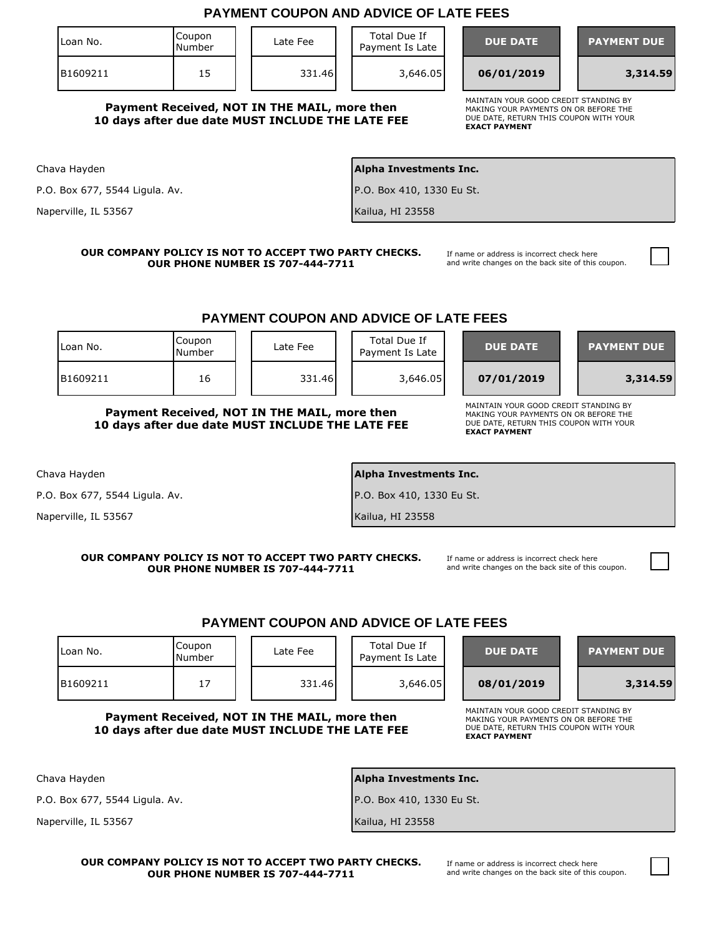|                                |                  |                                                                                                  | <b>PAYMENT COUPON AND ADVICE OF LATE FEES</b>                 |                                                                                                                                                  |  |
|--------------------------------|------------------|--------------------------------------------------------------------------------------------------|---------------------------------------------------------------|--------------------------------------------------------------------------------------------------------------------------------------------------|--|
| Loan No.                       | Coupon<br>Number | Late Fee                                                                                         | Total Due If<br>Payment Is Late                               | <b>DUE DATE</b><br><b>PAYMENT DUE</b>                                                                                                            |  |
| B1609211                       | 15               | 331.46                                                                                           | 3,646.05                                                      | 06/01/2019<br>3,314.59                                                                                                                           |  |
|                                |                  | Payment Received, NOT IN THE MAIL, more then<br>10 days after due date MUST INCLUDE THE LATE FEE |                                                               | MAINTAIN YOUR GOOD CREDIT STANDING BY<br>MAKING YOUR PAYMENTS ON OR BEFORE THE<br>DUE DATE, RETURN THIS COUPON WITH YOUR<br><b>EXACT PAYMENT</b> |  |
| Chava Hayden                   |                  |                                                                                                  | Alpha Investments Inc.                                        |                                                                                                                                                  |  |
| P.O. Box 677, 5544 Ligula. Av. |                  |                                                                                                  | P.O. Box 410, 1330 Eu St.                                     |                                                                                                                                                  |  |
| Naperville, IL 53567           |                  |                                                                                                  | Kailua, HI 23558                                              |                                                                                                                                                  |  |
|                                | Coupon           | <b>OUR PHONE NUMBER IS 707-444-7711</b>                                                          | <b>PAYMENT COUPON AND ADVICE OF LATE FEES</b><br>Total Due If | and write changes on the back site of this coupon.                                                                                               |  |
| Loan No.                       | Number           | Late Fee                                                                                         | Payment Is Late                                               | <b>DUE DATE</b><br><b>PAYMENT DUE</b>                                                                                                            |  |
| B1609211                       | 16               | 331.46                                                                                           | 3,646.05                                                      | 07/01/2019<br>3,314.59                                                                                                                           |  |
| Chava Hayden                   |                  | 10 days after due date MUST INCLUDE THE LATE FEE                                                 | Alpha Investments Inc.                                        | DUE DATE, RETURN THIS COUPON WITH YOUR<br><b>EXACT PAYMENT</b>                                                                                   |  |
| P.O. Box 677, 5544 Ligula. Av. |                  |                                                                                                  | P.O. Box 410, 1330 Eu St.                                     |                                                                                                                                                  |  |
| Naperville, IL 53567           |                  |                                                                                                  | Kailua, HI 23558                                              |                                                                                                                                                  |  |
|                                |                  | OUR COMPANY POLICY IS NOT TO ACCEPT TWO PARTY CHECKS.<br><b>OUR PHONE NUMBER IS 707-444-7711</b> | <b>PAYMENT COUPON AND ADVICE OF LATE FEES</b>                 | If name or address is incorrect check here<br>and write changes on the back site of this coupon.                                                 |  |
| Loan No.                       | Coupon<br>Number | Late Fee                                                                                         | Total Due If<br>Payment Is Late                               | <b>DUE DATE</b><br><b>PAYMENT DUE</b>                                                                                                            |  |
| B1609211                       | 17               | 331.46                                                                                           | 3,646.05                                                      | 08/01/2019<br>3,314.59                                                                                                                           |  |
|                                |                  | Payment Received, NOT IN THE MAIL, more then<br>10 days after due date MUST INCLUDE THE LATE FEE |                                                               | MAINTAIN YOUR GOOD CREDIT STANDING BY<br>MAKING YOUR PAYMENTS ON OR BEFORE THE<br>DUE DATE, RETURN THIS COUPON WITH YOUR<br><b>EXACT PAYMENT</b> |  |
| Chava Hayden                   |                  |                                                                                                  | Alpha Investments Inc.                                        |                                                                                                                                                  |  |
| P.O. Box 677, 5544 Ligula. Av. |                  |                                                                                                  | P.O. Box 410, 1330 Eu St.                                     |                                                                                                                                                  |  |
| Naperville, IL 53567           |                  |                                                                                                  | Kailua, HI 23558                                              |                                                                                                                                                  |  |

**OUR COMPANY POLICY IS NOT TO ACCEPT TWO PARTY CHECKS. OUR PHONE NUMBER IS 707-444-7711**

If name or address is incorrect check here and write changes on the back site of this coupon.